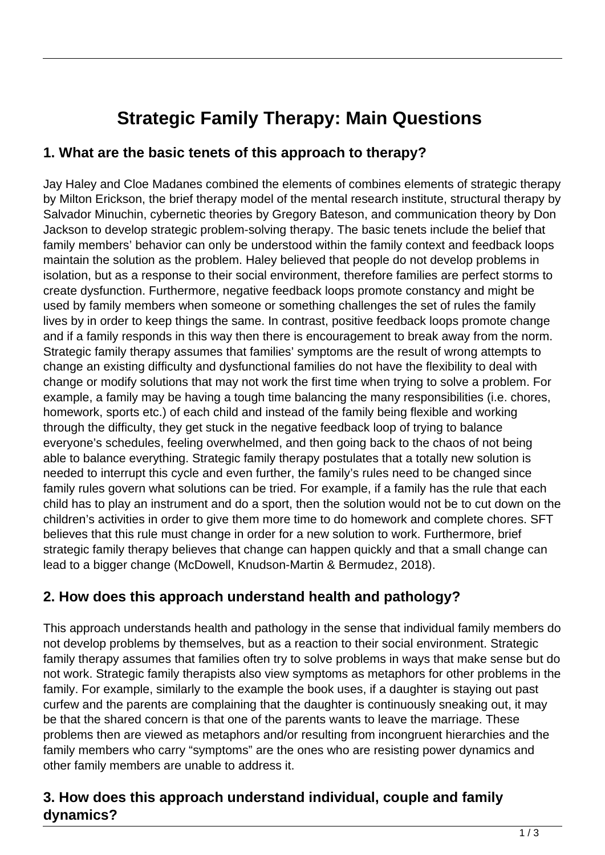# **Strategic Family Therapy: Main Questions**

#### **1. What are the basic tenets of this approach to therapy?**

Jay Haley and Cloe Madanes combined the elements of combines elements of strategic therapy by Milton Erickson, the brief therapy model of the mental research institute, structural therapy by Salvador Minuchin, cybernetic theories by Gregory Bateson, and communication theory by Don Jackson to develop strategic problem-solving therapy. The basic tenets include the belief that family members' behavior can only be understood within the family context and feedback loops maintain the solution as the problem. Haley believed that people do not develop problems in isolation, but as a response to their social environment, therefore families are perfect storms to create dysfunction. Furthermore, negative feedback loops promote constancy and might be used by family members when someone or something challenges the set of rules the family lives by in order to keep things the same. In contrast, positive feedback loops promote change and if a family responds in this way then there is encouragement to break away from the norm. Strategic family therapy assumes that families' symptoms are the result of wrong attempts to change an existing difficulty and dysfunctional families do not have the flexibility to deal with change or modify solutions that may not work the first time when trying to solve a problem. For example, a family may be having a tough time balancing the many responsibilities (i.e. chores, homework, sports etc.) of each child and instead of the family being flexible and working through the difficulty, they get stuck in the negative feedback loop of trying to balance everyone's schedules, feeling overwhelmed, and then going back to the chaos of not being able to balance everything. Strategic family therapy postulates that a totally new solution is needed to interrupt this cycle and even further, the family's rules need to be changed since family rules govern what solutions can be tried. For example, if a family has the rule that each child has to play an instrument and do a sport, then the solution would not be to cut down on the children's activities in order to give them more time to do homework and complete chores. SFT believes that this rule must change in order for a new solution to work. Furthermore, brief strategic family therapy believes that change can happen quickly and that a small change can lead to a bigger change (McDowell, Knudson-Martin & Bermudez, 2018).

## **2. How does this approach understand health and pathology?**

This approach understands health and pathology in the sense that individual family members do not develop problems by themselves, but as a reaction to their social environment. Strategic family therapy assumes that families often try to solve problems in ways that make sense but do not work. Strategic family therapists also view symptoms as metaphors for other problems in the family. For example, similarly to the example the book uses, if a daughter is staying out past curfew and the parents are complaining that the daughter is continuously sneaking out, it may be that the shared concern is that one of the parents wants to leave the marriage. These problems then are viewed as metaphors and/or resulting from incongruent hierarchies and the family members who carry "symptoms" are the ones who are resisting power dynamics and other family members are unable to address it.

## **3. How does this approach understand individual, couple and family dynamics?**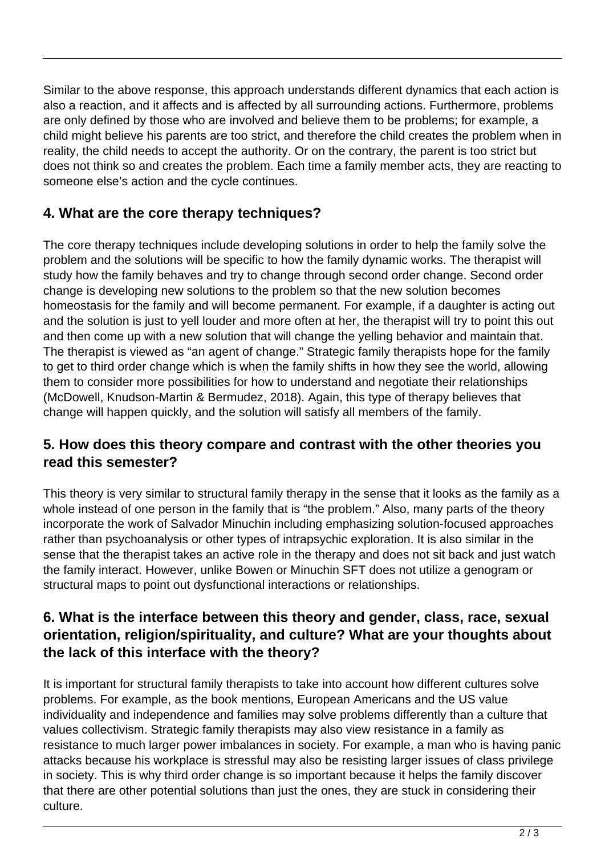Similar to the above response, this approach understands different dynamics that each action is also a reaction, and it affects and is affected by all surrounding actions. Furthermore, problems are only defined by those who are involved and believe them to be problems; for example, a child might believe his parents are too strict, and therefore the child creates the problem when in reality, the child needs to accept the authority. Or on the contrary, the parent is too strict but does not think so and creates the problem. Each time a family member acts, they are reacting to someone else's action and the cycle continues.

# **4. What are the core therapy techniques?**

The core therapy techniques include developing solutions in order to help the family solve the problem and the solutions will be specific to how the family dynamic works. The therapist will study how the family behaves and try to change through second order change. Second order change is developing new solutions to the problem so that the new solution becomes homeostasis for the family and will become permanent. For example, if a daughter is acting out and the solution is just to yell louder and more often at her, the therapist will try to point this out and then come up with a new solution that will change the yelling behavior and maintain that. The therapist is viewed as "an agent of change." Strategic family therapists hope for the family to get to third order change which is when the family shifts in how they see the world, allowing them to consider more possibilities for how to understand and negotiate their relationships (McDowell, Knudson-Martin & Bermudez, 2018). Again, this type of therapy believes that change will happen quickly, and the solution will satisfy all members of the family.

## **5. How does this theory compare and contrast with the other theories you read this semester?**

This theory is very similar to structural family therapy in the sense that it looks as the family as a whole instead of one person in the family that is "the problem." Also, many parts of the theory incorporate the work of Salvador Minuchin including emphasizing solution-focused approaches rather than psychoanalysis or other types of intrapsychic exploration. It is also similar in the sense that the therapist takes an active role in the therapy and does not sit back and just watch the family interact. However, unlike Bowen or Minuchin SFT does not utilize a genogram or structural maps to point out dysfunctional interactions or relationships.

## **6. What is the interface between this theory and gender, class, race, sexual orientation, religion/spirituality, and culture? What are your thoughts about the lack of this interface with the theory?**

It is important for structural family therapists to take into account how different cultures solve problems. For example, as the book mentions, European Americans and the US value individuality and independence and families may solve problems differently than a culture that values collectivism. Strategic family therapists may also view resistance in a family as resistance to much larger power imbalances in society. For example, a man who is having panic attacks because his workplace is stressful may also be resisting larger issues of class privilege in society. This is why third order change is so important because it helps the family discover that there are other potential solutions than just the ones, they are stuck in considering their culture.